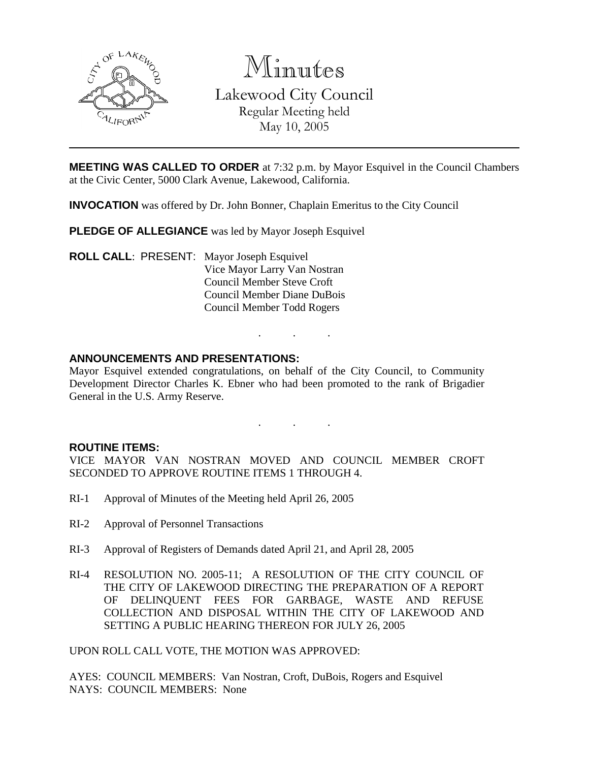

Minutes Lakewood City Council

Regular Meeting held May 10, 2005

**MEETING WAS CALLED TO ORDER** at 7:32 p.m. by Mayor Esquivel in the Council Chambers at the Civic Center, 5000 Clark Avenue, Lakewood, California.

**INVOCATION** was offered by Dr. John Bonner, Chaplain Emeritus to the City Council

**PLEDGE OF ALLEGIANCE** was led by Mayor Joseph Esquivel

**ROLL CALL**: PRESENT: Mayor Joseph Esquivel Vice Mayor Larry Van Nostran Council Member Steve Croft Council Member Diane DuBois Council Member Todd Rogers

## **ANNOUNCEMENTS AND PRESENTATIONS:**

Mayor Esquivel extended congratulations, on behalf of the City Council, to Community Development Director Charles K. Ebner who had been promoted to the rank of Brigadier General in the U.S. Army Reserve.

. . .

. . .

### **ROUTINE ITEMS:**

VICE MAYOR VAN NOSTRAN MOVED AND COUNCIL MEMBER CROFT SECONDED TO APPROVE ROUTINE ITEMS 1 THROUGH 4.

- RI-1 Approval of Minutes of the Meeting held April 26, 2005
- RI-2 Approval of Personnel Transactions
- RI-3 Approval of Registers of Demands dated April 21, and April 28, 2005
- RI-4 RESOLUTION NO. 2005-11; A RESOLUTION OF THE CITY COUNCIL OF THE CITY OF LAKEWOOD DIRECTING THE PREPARATION OF A REPORT OF DELINQUENT FEES FOR GARBAGE, WASTE AND REFUSE COLLECTION AND DISPOSAL WITHIN THE CITY OF LAKEWOOD AND SETTING A PUBLIC HEARING THEREON FOR JULY 26, 2005

UPON ROLL CALL VOTE, THE MOTION WAS APPROVED:

AYES: COUNCIL MEMBERS: Van Nostran, Croft, DuBois, Rogers and Esquivel NAYS: COUNCIL MEMBERS: None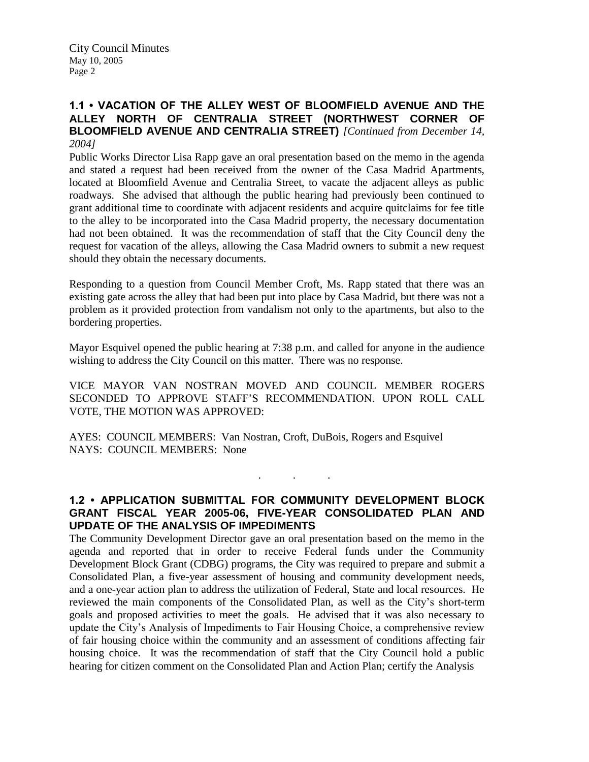## **1.1 • VACATION OF THE ALLEY WEST OF BLOOMFIELD AVENUE AND THE ALLEY NORTH OF CENTRALIA STREET (NORTHWEST CORNER OF BLOOMFIELD AVENUE AND CENTRALIA STREET)** *[Continued from December 14, 2004]*

Public Works Director Lisa Rapp gave an oral presentation based on the memo in the agenda and stated a request had been received from the owner of the Casa Madrid Apartments, located at Bloomfield Avenue and Centralia Street, to vacate the adjacent alleys as public roadways. She advised that although the public hearing had previously been continued to grant additional time to coordinate with adjacent residents and acquire quitclaims for fee title to the alley to be incorporated into the Casa Madrid property, the necessary documentation had not been obtained. It was the recommendation of staff that the City Council deny the request for vacation of the alleys, allowing the Casa Madrid owners to submit a new request should they obtain the necessary documents.

Responding to a question from Council Member Croft, Ms. Rapp stated that there was an existing gate across the alley that had been put into place by Casa Madrid, but there was not a problem as it provided protection from vandalism not only to the apartments, but also to the bordering properties.

Mayor Esquivel opened the public hearing at 7:38 p.m. and called for anyone in the audience wishing to address the City Council on this matter. There was no response.

VICE MAYOR VAN NOSTRAN MOVED AND COUNCIL MEMBER ROGERS SECONDED TO APPROVE STAFF'S RECOMMENDATION. UPON ROLL CALL VOTE, THE MOTION WAS APPROVED:

AYES: COUNCIL MEMBERS: Van Nostran, Croft, DuBois, Rogers and Esquivel NAYS: COUNCIL MEMBERS: None

## **1.2 • APPLICATION SUBMITTAL FOR COMMUNITY DEVELOPMENT BLOCK GRANT FISCAL YEAR 2005-06, FIVE-YEAR CONSOLIDATED PLAN AND UPDATE OF THE ANALYSIS OF IMPEDIMENTS**

. . .

The Community Development Director gave an oral presentation based on the memo in the agenda and reported that in order to receive Federal funds under the Community Development Block Grant (CDBG) programs, the City was required to prepare and submit a Consolidated Plan, a five-year assessment of housing and community development needs, and a one-year action plan to address the utilization of Federal, State and local resources. He reviewed the main components of the Consolidated Plan, as well as the City's short-term goals and proposed activities to meet the goals. He advised that it was also necessary to update the City's Analysis of Impediments to Fair Housing Choice, a comprehensive review of fair housing choice within the community and an assessment of conditions affecting fair housing choice. It was the recommendation of staff that the City Council hold a public hearing for citizen comment on the Consolidated Plan and Action Plan; certify the Analysis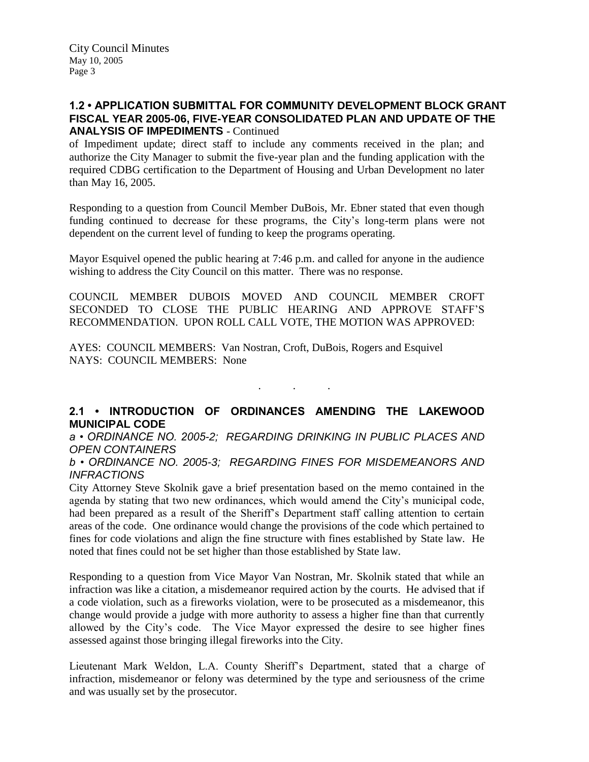## **1.2 • APPLICATION SUBMITTAL FOR COMMUNITY DEVELOPMENT BLOCK GRANT FISCAL YEAR 2005-06, FIVE-YEAR CONSOLIDATED PLAN AND UPDATE OF THE ANALYSIS OF IMPEDIMENTS** - Continued

of Impediment update; direct staff to include any comments received in the plan; and authorize the City Manager to submit the five-year plan and the funding application with the required CDBG certification to the Department of Housing and Urban Development no later than May 16, 2005.

Responding to a question from Council Member DuBois, Mr. Ebner stated that even though funding continued to decrease for these programs, the City's long-term plans were not dependent on the current level of funding to keep the programs operating.

Mayor Esquivel opened the public hearing at 7:46 p.m. and called for anyone in the audience wishing to address the City Council on this matter. There was no response.

COUNCIL MEMBER DUBOIS MOVED AND COUNCIL MEMBER CROFT SECONDED TO CLOSE THE PUBLIC HEARING AND APPROVE STAFF'S RECOMMENDATION. UPON ROLL CALL VOTE, THE MOTION WAS APPROVED:

AYES: COUNCIL MEMBERS: Van Nostran, Croft, DuBois, Rogers and Esquivel NAYS: COUNCIL MEMBERS: None

## **2.1 • INTRODUCTION OF ORDINANCES AMENDING THE LAKEWOOD MUNICIPAL CODE**

. . .

*a • ORDINANCE NO. 2005-2; REGARDING DRINKING IN PUBLIC PLACES AND OPEN CONTAINERS*

*b • ORDINANCE NO. 2005-3; REGARDING FINES FOR MISDEMEANORS AND INFRACTIONS*

City Attorney Steve Skolnik gave a brief presentation based on the memo contained in the agenda by stating that two new ordinances, which would amend the City's municipal code, had been prepared as a result of the Sheriff's Department staff calling attention to certain areas of the code. One ordinance would change the provisions of the code which pertained to fines for code violations and align the fine structure with fines established by State law. He noted that fines could not be set higher than those established by State law.

Responding to a question from Vice Mayor Van Nostran, Mr. Skolnik stated that while an infraction was like a citation, a misdemeanor required action by the courts. He advised that if a code violation, such as a fireworks violation, were to be prosecuted as a misdemeanor, this change would provide a judge with more authority to assess a higher fine than that currently allowed by the City's code. The Vice Mayor expressed the desire to see higher fines assessed against those bringing illegal fireworks into the City.

Lieutenant Mark Weldon, L.A. County Sheriff's Department, stated that a charge of infraction, misdemeanor or felony was determined by the type and seriousness of the crime and was usually set by the prosecutor.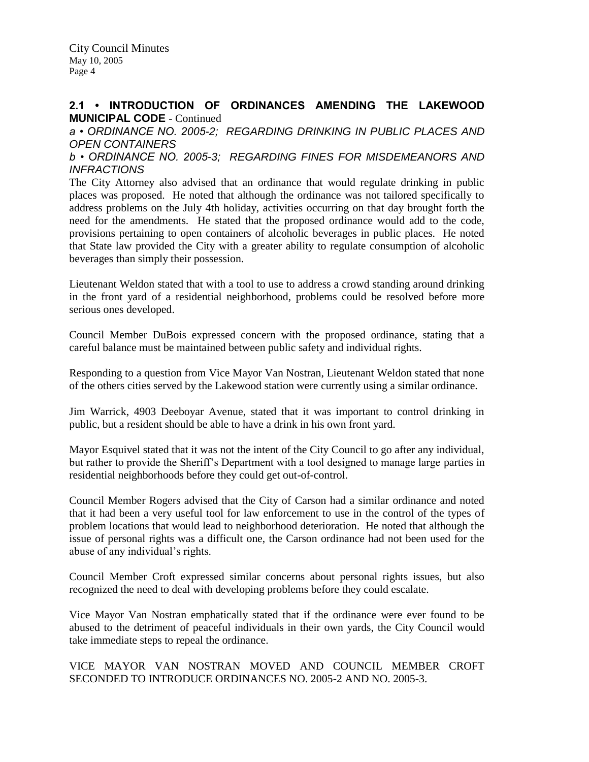## **2.1 • INTRODUCTION OF ORDINANCES AMENDING THE LAKEWOOD MUNICIPAL CODE** - Continued

*a • ORDINANCE NO. 2005-2; REGARDING DRINKING IN PUBLIC PLACES AND OPEN CONTAINERS b • ORDINANCE NO. 2005-3; REGARDING FINES FOR MISDEMEANORS AND* 

*INFRACTIONS*

The City Attorney also advised that an ordinance that would regulate drinking in public places was proposed. He noted that although the ordinance was not tailored specifically to address problems on the July 4th holiday, activities occurring on that day brought forth the need for the amendments. He stated that the proposed ordinance would add to the code, provisions pertaining to open containers of alcoholic beverages in public places. He noted that State law provided the City with a greater ability to regulate consumption of alcoholic beverages than simply their possession.

Lieutenant Weldon stated that with a tool to use to address a crowd standing around drinking in the front yard of a residential neighborhood, problems could be resolved before more serious ones developed.

Council Member DuBois expressed concern with the proposed ordinance, stating that a careful balance must be maintained between public safety and individual rights.

Responding to a question from Vice Mayor Van Nostran, Lieutenant Weldon stated that none of the others cities served by the Lakewood station were currently using a similar ordinance.

Jim Warrick, 4903 Deeboyar Avenue, stated that it was important to control drinking in public, but a resident should be able to have a drink in his own front yard.

Mayor Esquivel stated that it was not the intent of the City Council to go after any individual, but rather to provide the Sheriff's Department with a tool designed to manage large parties in residential neighborhoods before they could get out-of-control.

Council Member Rogers advised that the City of Carson had a similar ordinance and noted that it had been a very useful tool for law enforcement to use in the control of the types of problem locations that would lead to neighborhood deterioration. He noted that although the issue of personal rights was a difficult one, the Carson ordinance had not been used for the abuse of any individual's rights.

Council Member Croft expressed similar concerns about personal rights issues, but also recognized the need to deal with developing problems before they could escalate.

Vice Mayor Van Nostran emphatically stated that if the ordinance were ever found to be abused to the detriment of peaceful individuals in their own yards, the City Council would take immediate steps to repeal the ordinance.

VICE MAYOR VAN NOSTRAN MOVED AND COUNCIL MEMBER CROFT SECONDED TO INTRODUCE ORDINANCES NO. 2005-2 AND NO. 2005-3.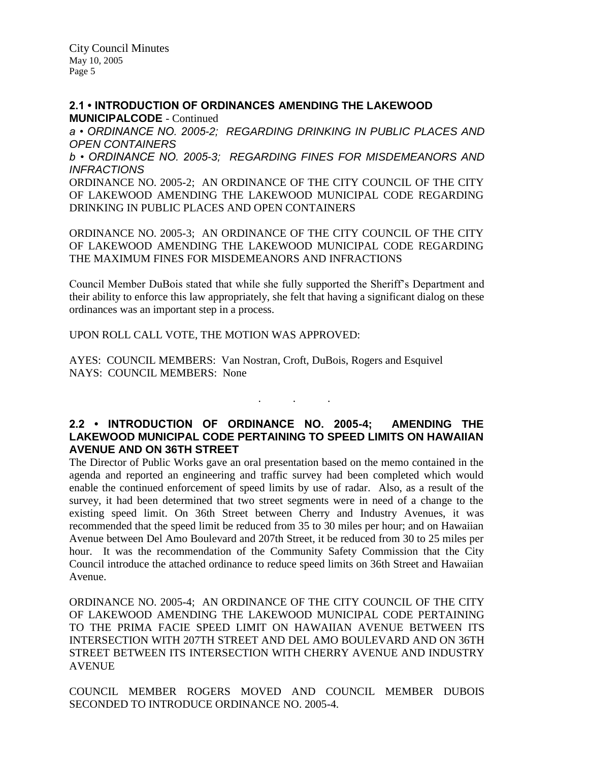**2.1 • INTRODUCTION OF ORDINANCES AMENDING THE LAKEWOOD MUNICIPALCODE** - Continued *a • ORDINANCE NO. 2005-2; REGARDING DRINKING IN PUBLIC PLACES AND OPEN CONTAINERS b • ORDINANCE NO. 2005-3; REGARDING FINES FOR MISDEMEANORS AND INFRACTIONS* ORDINANCE NO. 2005-2; AN ORDINANCE OF THE CITY COUNCIL OF THE CITY OF LAKEWOOD AMENDING THE LAKEWOOD MUNICIPAL CODE REGARDING DRINKING IN PUBLIC PLACES AND OPEN CONTAINERS

ORDINANCE NO. 2005-3; AN ORDINANCE OF THE CITY COUNCIL OF THE CITY OF LAKEWOOD AMENDING THE LAKEWOOD MUNICIPAL CODE REGARDING THE MAXIMUM FINES FOR MISDEMEANORS AND INFRACTIONS

Council Member DuBois stated that while she fully supported the Sheriff's Department and their ability to enforce this law appropriately, she felt that having a significant dialog on these ordinances was an important step in a process.

UPON ROLL CALL VOTE, THE MOTION WAS APPROVED:

AYES: COUNCIL MEMBERS: Van Nostran, Croft, DuBois, Rogers and Esquivel NAYS: COUNCIL MEMBERS: None

## **2.2 • INTRODUCTION OF ORDINANCE NO. 2005-4; AMENDING THE LAKEWOOD MUNICIPAL CODE PERTAINING TO SPEED LIMITS ON HAWAIIAN AVENUE AND ON 36TH STREET**

. . .

The Director of Public Works gave an oral presentation based on the memo contained in the agenda and reported an engineering and traffic survey had been completed which would enable the continued enforcement of speed limits by use of radar. Also, as a result of the survey, it had been determined that two street segments were in need of a change to the existing speed limit. On 36th Street between Cherry and Industry Avenues, it was recommended that the speed limit be reduced from 35 to 30 miles per hour; and on Hawaiian Avenue between Del Amo Boulevard and 207th Street, it be reduced from 30 to 25 miles per hour. It was the recommendation of the Community Safety Commission that the City Council introduce the attached ordinance to reduce speed limits on 36th Street and Hawaiian Avenue.

ORDINANCE NO. 2005-4; AN ORDINANCE OF THE CITY COUNCIL OF THE CITY OF LAKEWOOD AMENDING THE LAKEWOOD MUNICIPAL CODE PERTAINING TO THE PRIMA FACIE SPEED LIMIT ON HAWAIIAN AVENUE BETWEEN ITS INTERSECTION WITH 207TH STREET AND DEL AMO BOULEVARD AND ON 36TH STREET BETWEEN ITS INTERSECTION WITH CHERRY AVENUE AND INDUSTRY **AVENUE** 

COUNCIL MEMBER ROGERS MOVED AND COUNCIL MEMBER DUBOIS SECONDED TO INTRODUCE ORDINANCE NO. 2005-4.